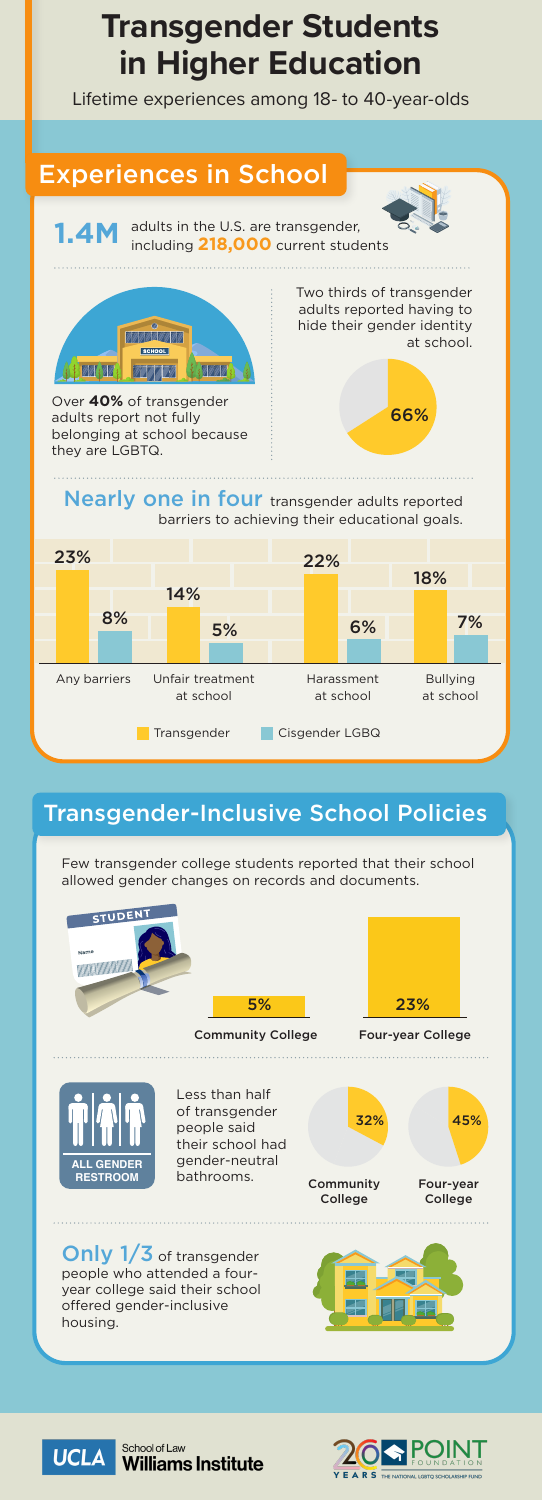## **Transgender Students in Higher Education**

Lifetime experiences among 18- to 40-year-olds



## Transgender-Inclusive School Policies

Few transgender college students reported that their school allowed gender changes on records and documents.